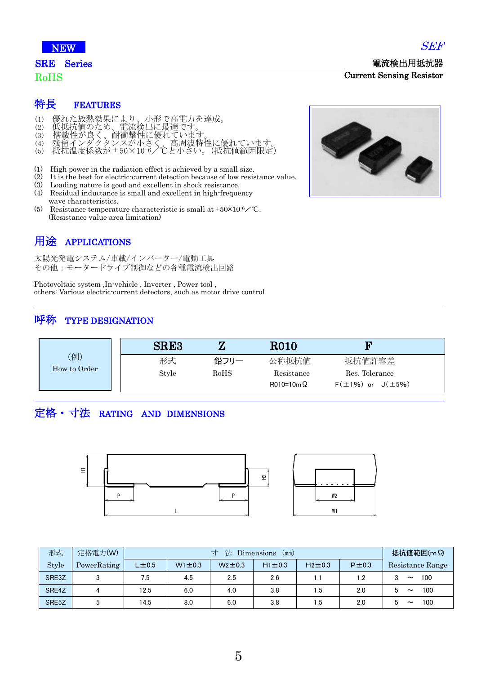

#### SRE Series

#### RoHS

- (1) 優れた放熱効果により、小形で高電力を達成。
- (2) 低抵抗値のため、電流検出に最適です。
- (3) 搭載性が良く、耐衝撃性に優れています。
- (4) 残留インダクタンスが小さく、高周波特性に優れています。 (5) 抵抗温度係数が±50×10-6/℃と小さい。(抵抗値範囲限定)
- 
- (1) High power in the radiation effect is achieved by a small size.
- (2) It is the best for electric-current detection because of low resistance value.
- (3) Loading nature is good and excellent in shock resistance.
- (4) Residual inductance is small and excellent in high-frequency wave characteristics.
- (5) Resistance temperature characteristic is small at  $\pm 50 \times 10^{-6}$  /°C. (Resistance value area limitation)

# 用途 APPLICATIONS

太陽光発電システム/車載/インバーター/電動工具 その他:モータードライブ制御などの各種電流検出回路

Photovoltaic system ,In-vehicle , Inverter , Power tool , others: Various electric-current detectors, such as motor drive control

#### 呼称 TYPE DESIGNATION

|                    | <b>SRE3</b> |      | <b>R010</b>      | F                            |
|--------------------|-------------|------|------------------|------------------------------|
| 例)<br>How to Order | 形式          | 鉛フリー | 公称抵抗值            | 抵抗値許容差                       |
|                    | Style       | RoHS | Resistance       | Res. Tolerance               |
|                    |             |      | $R010=10m\Omega$ | $F(\pm 1\%)$ or $J(\pm 5\%)$ |

# 定格・寸法 RATING AND DIMENSIONS



| 形式    | 定格電力(W)     | 法<br>Dimensions<br>(mm) |              |              |              |              | 抵抗値範囲(m Ω) |                                   |
|-------|-------------|-------------------------|--------------|--------------|--------------|--------------|------------|-----------------------------------|
| Style | PowerRating | $L\pm0.5$               | $W1 \pm 0.3$ | $W2 \pm 0.3$ | $H1 \pm 0.3$ | $H2 \pm 0.3$ | $P\pm 0.3$ | Resistance Range                  |
| SRE3Z |             | 7.5                     | 4.5          | 2.5          | 2.6          | 1.1          | 1.2        | 100<br>3<br>$\tilde{\phantom{a}}$ |
| SRE4Z | 4           | 12.5                    | 6.0          | 4.0          | 3.8          | 1.5          | 2.0        | 100<br>5<br>$\tilde{\phantom{a}}$ |
| SRE5Z |             | 14.5                    | 8.0          | 6.0          | 3.8          | 1.5          | 2.0        | 100<br>5<br>$\tilde{\phantom{a}}$ |



SEF

電流検出用抵抗器

Current Sensing Resistor

5